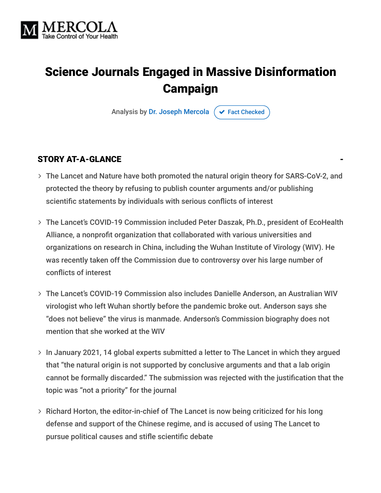

## Science Journals Engaged in Massive Disinformation Campaign

Analysis by [Dr. Joseph Mercola](https://www.mercola.com/forms/background.htm)  $\sigma$  [Fact Checked](javascript:void(0))

#### STORY AT-A-GLANCE

- The Lancet and Nature have both promoted the natural origin theory for SARS-CoV-2, and protected the theory by refusing to publish counter arguments and/or publishing scientific statements by individuals with serious conflicts of interest
- The Lancet's COVID-19 Commission included Peter Daszak, Ph.D., president of EcoHealth Alliance, a nonprofit organization that collaborated with various universities and organizations on research in China, including the Wuhan Institute of Virology (WIV). He was recently taken off the Commission due to controversy over his large number of conflicts of interest
- The Lancet's COVID-19 Commission also includes Danielle Anderson, an Australian WIV virologist who left Wuhan shortly before the pandemic broke out. Anderson says she "does not believe" the virus is manmade. Anderson's Commission biography does not mention that she worked at the WIV
- > In January 2021, 14 global experts submitted a letter to The Lancet in which they argued that "the natural origin is not supported by conclusive arguments and that a lab origin cannot be formally discarded." The submission was rejected with the justification that the topic was "not a priority" for the journal
- > Richard Horton, the editor-in-chief of The Lancet is now being criticized for his long defense and support of the Chinese regime, and is accused of using The Lancet to pursue political causes and stifle scientific debate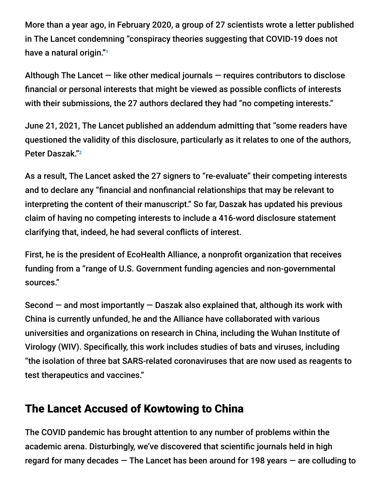More than a year ago, in February 2020, a group of 27 scientists wrote a letter published in The Lancet condemning "conspiracy theories suggesting that COVID-19 does not have a natural origin." 1

Although The Lancet  $-$  like other medical journals  $-$  requires contributors to disclose financial or personal interests that might be viewed as possible conflicts of interests with their submissions, the 27 authors declared they had "no competing interests."

June 21, 2021, The Lancet published an addendum admitting that "some readers have questioned the validity of this disclosure, particularly as it relates to one of the authors, Peter Daszak." 2

As a result, The Lancet asked the 27 signers to "re-evaluate" their competing interests and to declare any "financial and nonfinancial relationships that may be relevant to interpreting the content of their manuscript." So far, Daszak has updated his previous claim of having no competing interests to include a 416-word disclosure statement clarifying that, indeed, he had several conflicts of interest.

First, he is the president of EcoHealth Alliance, a nonprofit organization that receives funding from a "range of U.S. Government funding agencies and non-governmental sources."

Second  $-$  and most importantly  $-$  Daszak also explained that, although its work with China is currently unfunded, he and the Alliance have collaborated with various universities and organizations on research in China, including the Wuhan Institute of Virology (WIV). Specifically, this work includes studies of bats and viruses, including "the isolation of three bat SARS-related coronaviruses that are now used as reagents to test therapeutics and vaccines."

### The Lancet Accused of Kowtowing to China

The COVID pandemic has brought attention to any number of problems within the academic arena. Disturbingly, we've discovered that scientific journals held in high regard for many decades — The Lancet has been around for 198 years — are colluding to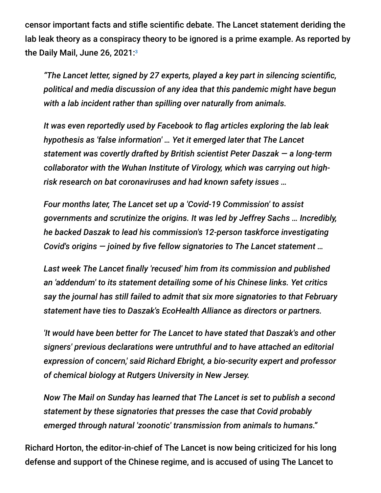censor important facts and stifle scientific debate. The Lancet statement deriding the lab leak theory as a conspiracy theory to be ignored is a prime example. As reported by the Daily Mail, June 26, 2021: 3

*"The Lancet letter, signed by 27 experts, played a key part in silencing scientific, political and media discussion of any idea that this pandemic might have begun with a lab incident rather than spilling over naturally from animals.*

*It was even reportedly used by Facebook to flag articles exploring the lab leak hypothesis as 'false information' … Yet it emerged later that The Lancet statement was covertly drafted by British scientist Peter Daszak — a long-term collaborator with the Wuhan Institute of Virology, which was carrying out highrisk research on bat coronaviruses and had known safety issues …*

*Four months later, The Lancet set up a 'Covid-19 Commission' to assist governments and scrutinize the origins. It was led by Jeffrey Sachs … Incredibly, he backed Daszak to lead his commission's 12-person taskforce investigating Covid's origins — joined by five fellow signatories to The Lancet statement …*

*Last week The Lancet finally 'recused' him from its commission and published an 'addendum' to its statement detailing some of his Chinese links. Yet critics say the journal has still failed to admit that six more signatories to that February statement have ties to Daszak's EcoHealth Alliance as directors or partners.*

*'It would have been better for The Lancet to have stated that Daszak's and other signers' previous declarations were untruthful and to have attached an editorial expression of concern,' said Richard Ebright, a bio-security expert and professor of chemical biology at Rutgers University in New Jersey.*

*Now The Mail on Sunday has learned that The Lancet is set to publish a second statement by these signatories that presses the case that Covid probably emerged through natural 'zoonotic' transmission from animals to humans."*

Richard Horton, the editor-in-chief of The Lancet is now being criticized for his long defense and support of the Chinese regime, and is accused of using The Lancet to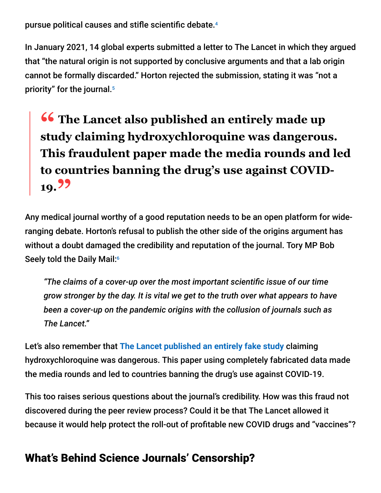pursue political causes and stifle scientific debate. 4

In January 2021, 14 global experts submitted a letter to The Lancet in which they argued that "the natural origin is not supported by conclusive arguments and that a lab origin cannot be formally discarded." Horton rejected the submission, stating it was "not a priority" for the journal. 5

# **<sup>66</sup>** The Lancet also published an entirely made up<br>
study claiming hydroxychloroquine was dangerou **study claiming hydroxychloroquine was dangerous. This fraudulent paper made the media rounds and led to countries banning the drug's use against COVID-19."**

Any medical journal worthy of a good reputation needs to be an open platform for wideranging debate. Horton's refusal to publish the other side of the origins argument has without a doubt damaged the credibility and reputation of the journal. Tory MP Bob Seely told the Daily Mail: 6

*"The claims of a cover-up over the most important scientific issue of our time grow stronger by the day. It is vital we get to the truth over what appears to have been a cover-up on the pandemic origins with the collusion of journals such as The Lancet."*

Let's also remember that **[The Lancet published an entirely fake study](https://articles.mercola.com/sites/articles/archive/2020/07/08/the-lancet-retraction-hydroxychloroquine-clinical-trial.aspx)** claiming hydroxychloroquine was dangerous. This paper using completely fabricated data made the media rounds and led to countries banning the drug's use against COVID-19.

This too raises serious questions about the journal's credibility. How was this fraud not discovered during the peer review process? Could it be that The Lancet allowed it because it would help protect the roll-out of profitable new COVID drugs and "vaccines"?

### What's Behind Science Journals' Censorship?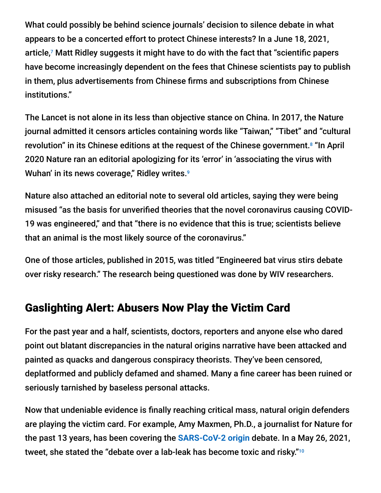What could possibly be behind science journals' decision to silence debate in what appears to be a concerted effort to protect Chinese interests? In a June 18, 2021, article,<sup>7</sup> Matt Ridley suggests it might have to do with the fact that "scientific papers have become increasingly dependent on the fees that Chinese scientists pay to publish in them, plus advertisements from Chinese firms and subscriptions from Chinese institutions."

The Lancet is not alone in its less than objective stance on China. In 2017, the Nature journal admitted it censors articles containing words like "Taiwan," "Tibet" and "cultural revolution" in its Chinese editions at the request of the Chinese government.<sup>8</sup> "In April 2020 Nature ran an editorial apologizing for its 'error' in 'associating the virus with Wuhan' in its news coverage," Ridley writes. 9

Nature also attached an editorial note to several old articles, saying they were being misused "as the basis for unverified theories that the novel coronavirus causing COVID-19 was engineered," and that "there is no evidence that this is true; scientists believe that an animal is the most likely source of the coronavirus."

One of those articles, published in 2015, was titled "Engineered bat virus stirs debate over risky research." The research being questioned was done by WIV researchers.

### Gaslighting Alert: Abusers Now Play the Victim Card

For the past year and a half, scientists, doctors, reporters and anyone else who dared point out blatant discrepancies in the natural origins narrative have been attacked and painted as quacks and dangerous conspiracy theorists. They've been censored, deplatformed and publicly defamed and shamed. Many a fine career has been ruined or seriously tarnished by baseless personal attacks.

Now that undeniable evidence is finally reaching critical mass, natural origin defenders are playing the victim card. For example, Amy Maxmen, Ph.D., a journalist for Nature for the past 13 years, has been covering the **[SARS-CoV-2 origin](https://articles.mercola.com/sites/articles/archive/2021/01/14/where-did-coronavirus-originate.aspx)** debate. In a May 26, 2021, tweet, she stated the "debate over a lab-leak has become toxic and risky."10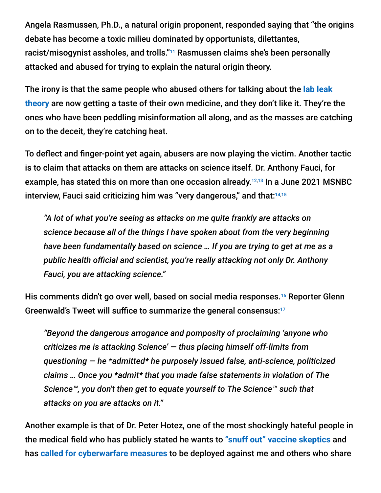Angela Rasmussen, Ph.D., a natural origin proponent, responded saying that "the origins debate has become a toxic milieu dominated by opportunists, dilettantes, racist/misogynist assholes, and trolls."<sup>11</sup> Rasmussen claims she's been personally attacked and abused for trying to explain the natural origin theory.

The irony is that the same people who abused others for talking about the **lab leak theory** [are now getting a taste of their own medicine, and they don't like it. They're](https://articles.mercola.com/sites/articles/archive/2021/02/26/origin-of-coronavirus-who.aspx) the ones who have been peddling misinformation all along, and as the masses are catching on to the deceit, they're catching heat.

To deflect and finger-point yet again, abusers are now playing the victim. Another tactic is to claim that attacks on them are attacks on science itself. Dr. Anthony Fauci, for example, has stated this on more than one occasion already.<sup>12,13</sup> In a June 2021 MSNBC interview, Fauci said criticizing him was "very dangerous," and that: 14,15

*"A lot of what you're seeing as attacks on me quite frankly are attacks on science because all of the things I have spoken about from the very beginning have been fundamentally based on science … If you are trying to get at me as a public health official and scientist, you're really attacking not only Dr. Anthony Fauci, you are attacking science."*

His comments didn't go over well, based on social media responses.<sup>16</sup> Reporter Glenn Greenwald's Tweet will suffice to summarize the general consensus: 17

*"Beyond the dangerous arrogance and pomposity of proclaiming 'anyone who criticizes me is attacking Science' — thus placing himself off-limits from questioning — he \*admitted\* he purposely issued false, anti-science, politicized claims … Once you \*admit\* that you made false statements in violation of The Science™, you don't then get to equate yourself to The Science™ such that attacks on you are attacks on it."*

Another example is that of Dr. Peter Hotez, one of the most shockingly hateful people in the medical field who has publicly stated he wants to **["snuff out" vaccine skeptics](https://articles.mercola.com/sites/articles/archive/2018/03/13/current-vaccination-program-safety-effectiveness.aspx)** and has **[called for cyberwarfare measures](https://articles.mercola.com/sites/articles/archive/2021/05/10/the-rise-of-utilitarian-extremism.aspx)** to be deployed against me and others who share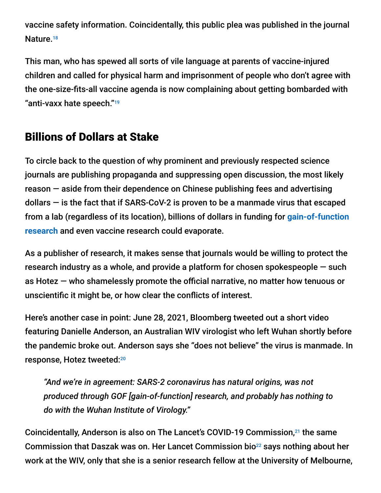vaccine safety information. Coincidentally, this public plea was published in the journal Nature.<sup>18</sup>

This man, who has spewed all sorts of vile language at parents of vaccine-injured children and called for physical harm and imprisonment of people who don't agree with the one-size-fits-all vaccine agenda is now complaining about getting bombarded with "anti-vaxx hate speech." 19

### Billions of Dollars at Stake

To circle back to the question of why prominent and previously respected science journals are publishing propaganda and suppressing open discussion, the most likely reason — aside from their dependence on Chinese publishing fees and advertising dollars  $-$  is the fact that if SARS-CoV-2 is proven to be a manmade virus that escaped [from a lab \(regardless of its location\), billions of dollars in funding for](https://articles.mercola.com/sites/articles/archive/2020/09/17/gain-of-function-research.aspx) **gain-of-function research** and even vaccine research could evaporate.

As a publisher of research, it makes sense that journals would be willing to protect the research industry as a whole, and provide a platform for chosen spokespeople — such as Hotez — who shamelessly promote the official narrative, no matter how tenuous or unscientific it might be, or how clear the conflicts of interest.

Here's another case in point: June 28, 2021, Bloomberg tweeted out a short video featuring Danielle Anderson, an Australian WIV virologist who left Wuhan shortly before the pandemic broke out. Anderson says she "does not believe" the virus is manmade. In response, Hotez tweeted: 20

*"And we're in agreement: SARS-2 coronavirus has natural origins, was not produced through GOF [gain-of-function] research, and probably has nothing to do with the Wuhan Institute of Virology."*

Coincidentally, Anderson is also on The Lancet's COVID-19 Commission,<sup>21</sup> the same Commission that Daszak was on. Her Lancet Commission bio $^{22}$  says nothing about her work at the WIV, only that she is a senior research fellow at the University of Melbourne,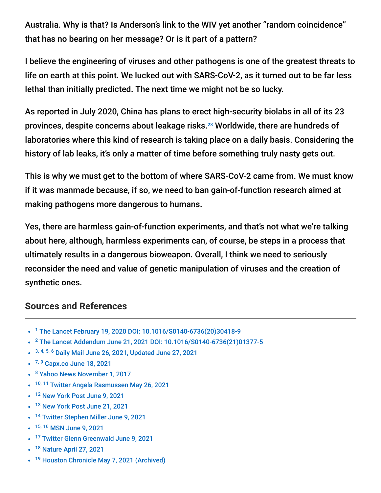Australia. Why is that? Is Anderson's link to the WIV yet another "random coincidence" that has no bearing on her message? Or is it part of a pattern?

I believe the engineering of viruses and other pathogens is one of the greatest threats to life on earth at this point. We lucked out with SARS-CoV-2, as it turned out to be far less lethal than initially predicted. The next time we might not be so lucky.

As reported in July 2020, China has plans to erect high-security biolabs in all of its 23 provinces, despite concerns about leakage risks.<sup>23</sup> Worldwide, there are hundreds of laboratories where this kind of research is taking place on a daily basis. Considering the history of lab leaks, it's only a matter of time before something truly nasty gets out.

This is why we must get to the bottom of where SARS-CoV-2 came from. We must know if it was manmade because, if so, we need to ban gain-of-function research aimed at making pathogens more dangerous to humans.

Yes, there are harmless gain-of-function experiments, and that's not what we're talking about here, although, harmless experiments can, of course, be steps in a process that ultimately results in a dangerous bioweapon. Overall, I think we need to seriously reconsider the need and value of genetic manipulation of viruses and the creation of synthetic ones.

#### **Sources and References**

- <sup>1</sup> [The Lancet February 19, 2020 DOI: 10.1016/S0140-6736\(20\)30418-9](https://www.thelancet.com/journals/lancet/article/PIIS0140-6736(20)30418-9/fulltext)
- <sup>2</sup> [The Lancet Addendum June 21, 2021 DOI: 10.1016/S0140-6736\(21\)01377-5](https://www.thelancet.com/journals/lancet/article/PIIS0140-6736(21)01377-5/fulltext?utm_campaign=lancetcovid21&utm_source=twitter&utm_medium=social)
- 3, 4, 5, 6 [Daily Mail June 26, 2021, Updated June 27, 2021](https://www.dailymail.co.uk/debate/article-9728577/Worlds-famous-medical-journal-accused-doing-Chinas-dirty-work-writes-IAN-BIRRELL.html)
- <sup>7, 9</sup> [Capx.co June 18, 2021](https://capx.co/science-journals-wuhan-and-a-truly-bizarre-twitter-episode/)
- <sup>8</sup> [Yahoo News November 1, 2017](https://au.news.yahoo.com/springer-nature-blocks-access-to-certain-articles-in-china-37701113.html)
- <sup>10, 11</sup> [Twitter Angela Rasmussen May 26, 2021](https://twitter.com/angie_rasmussen/status/1397742523204968449?s=21)
- <sup>12</sup> [New York Post June 9, 2021](https://nypost.com/2021/06/09/fauci-says-attacks-on-him-are-attacks-on-science/)
- <sup>13</sup> [New York Post June 21, 2021](https://nypost.com/2021/06/21/fauci-attacks-on-him-are-actually-criticizing-science/)
- <sup>14</sup> [Twitter Stephen Miller June 9, 2021](https://twitter.com/redsteeze/status/1402686481261498369?ref_src=twsrc%5Etfw%7Ctwcamp%5Etweetembed%7Ctwterm%5E1402686481261498369%7Ctwgr%5E%7Ctwcon%5Es1_&ref_url=https%3A%2F%2Fwww.mediaite.com%2Fnews%2Ffauci-draws-rebuke-for-claim-that-attacking-him-)
- 15, 16 [MSN June 9, 2021](https://www.msn.com/en-us/tv/news/fauci-draws-rebuke-for-claim-that-attacking-him-is-attacking-science/ar-AAKSO3y)
- <sup>17</sup> [Twitter Glenn Greenwald June 9, 2021](https://twitter.com/ggreenwald/status/1402684619279982608?ref_src=twsrc%5Etfw%7Ctwcamp%5Etweetembed%7Ctwterm%5E1402684619279982608%7Ctwgr%5E%7Ctwcon%5Es1_&ref_url=https%3A%2F%2Fwww.mediaite.com%2Fnews%2Ffauci-draws-rebuke-for-claim-that-attacking-him)
- <sup>18</sup> [Nature April 27, 2021](https://www.nature.com/articles/d41586-021-01084-x)
- <sup>19</sup> [Houston Chronicle May 7, 2021 \(Archived\)](https://archive.is/OSHZf)